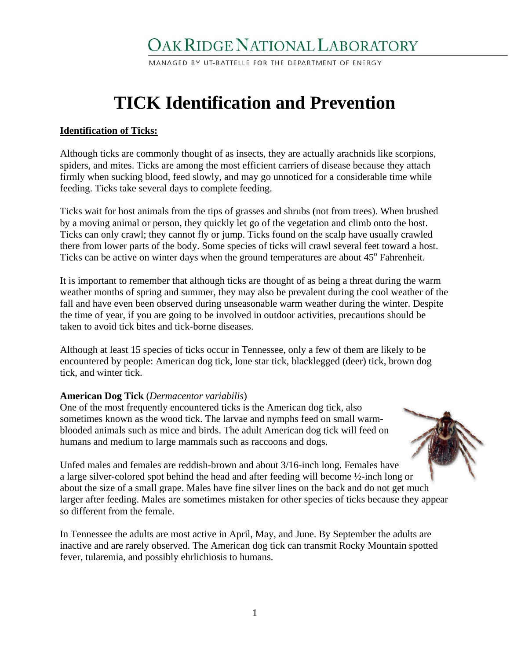# OAK RIDGE NATIONAL LABORATORY

MANAGED BY UT-BATTELLE FOR THE DEPARTMENT OF ENERGY

# **TICK Identification and Prevention**

## **Identification of Ticks:**

Although ticks are commonly thought of as insects, they are actually arachnids like scorpions, spiders, and mites. Ticks are among the most efficient carriers of disease because they attach firmly when sucking blood, feed slowly, and may go unnoticed for a considerable time while feeding. Ticks take several days to complete feeding.

Ticks wait for host animals from the tips of grasses and shrubs (not from trees). When brushed by a moving animal or person, they quickly let go of the vegetation and climb onto the host. Ticks can only crawl; they cannot fly or jump. Ticks found on the scalp have usually crawled there from lower parts of the body. Some species of ticks will crawl several feet toward a host. Ticks can be active on winter days when the ground temperatures are about  $45^{\circ}$  Fahrenheit.

It is important to remember that although ticks are thought of as being a threat during the warm weather months of spring and summer, they may also be prevalent during the cool weather of the fall and have even been observed during unseasonable warm weather during the winter. Despite the time of year, if you are going to be involved in outdoor activities, precautions should be taken to avoid tick bites and tick-borne diseases.

Although at least 15 species of ticks occur in Tennessee, only a few of them are likely to be encountered by people: American dog tick, lone star tick, blacklegged (deer) tick, brown dog tick, and winter tick.

#### **American Dog Tick** (*Dermacentor variabilis*)

One of the most frequently encountered ticks is the American dog tick, also sometimes known as the wood tick. The larvae and nymphs feed on small warmblooded animals such as mice and birds. The adult American dog tick will feed on humans and medium to large mammals such as raccoons and dogs.



Unfed males and females are reddish-brown and about 3/16-inch long. Females have a large silver-colored spot behind the head and after feeding will become ½-inch long or about the size of a small grape. Males have fine silver lines on the back and do not get much larger after feeding. Males are sometimes mistaken for other species of ticks because they appear so different from the female.

In Tennessee the adults are most active in April, May, and June. By September the adults are inactive and are rarely observed. The American dog tick can transmit Rocky Mountain spotted fever, tularemia, and possibly ehrlichiosis to humans.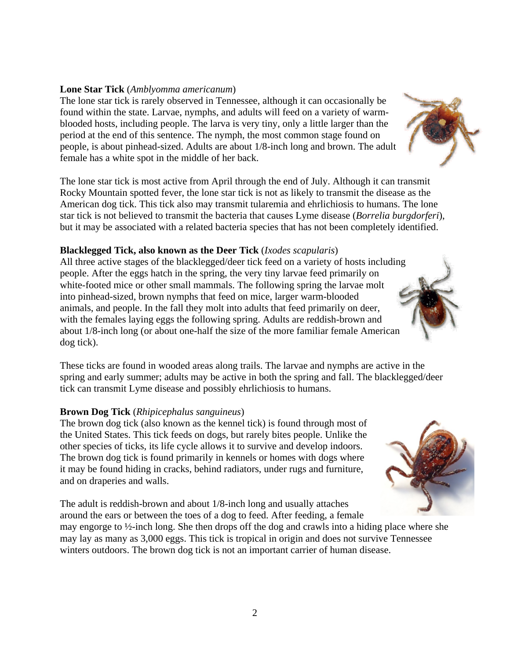#### **Lone Star Tick** (*Amblyomma americanum*)

The lone star tick is rarely observed in Tennessee, although it can occasionally be found within the state. Larvae, nymphs, and adults will feed on a variety of warmblooded hosts, including people. The larva is very tiny, only a little larger than the period at the end of this sentence. The nymph, the most common stage found on people, is about pinhead-sized. Adults are about 1/8-inch long and brown. The adult female has a white spot in the middle of her back.

The lone star tick is most active from April through the end of July. Although it can transmit Rocky Mountain spotted fever, the lone star tick is not as likely to transmit the disease as the American dog tick. This tick also may transmit tularemia and ehrlichiosis to humans. The lone star tick is not believed to transmit the bacteria that causes Lyme disease (*Borrelia burgdorferi*), but it may be associated with a related bacteria species that has not been completely identified.

#### **Blacklegged Tick, also known as the Deer Tick** (*Ixodes scapularis*)

All three active stages of the blacklegged/deer tick feed on a variety of hosts including people. After the eggs hatch in the spring, the very tiny larvae feed primarily on white-footed mice or other small mammals. The following spring the larvae molt into pinhead-sized, brown nymphs that feed on mice, larger warm-blooded animals, and people. In the fall they molt into adults that feed primarily on deer, with the females laying eggs the following spring. Adults are reddish-brown and about 1/8-inch long (or about one-half the size of the more familiar female American dog tick).

These ticks are found in wooded areas along trails. The larvae and nymphs are active in the spring and early summer; adults may be active in both the spring and fall. The blacklegged/deer tick can transmit Lyme disease and possibly ehrlichiosis to humans.

#### **Brown Dog Tick** (*Rhipicephalus sanguineus*)

The brown dog tick (also known as the kennel tick) is found through most of the United States. This tick feeds on dogs, but rarely bites people. Unlike the other species of ticks, its life cycle allows it to survive and develop indoors. The brown dog tick is found primarily in kennels or homes with dogs where it may be found hiding in cracks, behind radiators, under rugs and furniture, and on draperies and walls.

The adult is reddish-brown and about 1/8-inch long and usually attaches around the ears or between the toes of a dog to feed. After feeding, a female

may engorge to ½-inch long. She then drops off the dog and crawls into a hiding place where she may lay as many as 3,000 eggs. This tick is tropical in origin and does not survive Tennessee winters outdoors. The brown dog tick is not an important carrier of human disease.



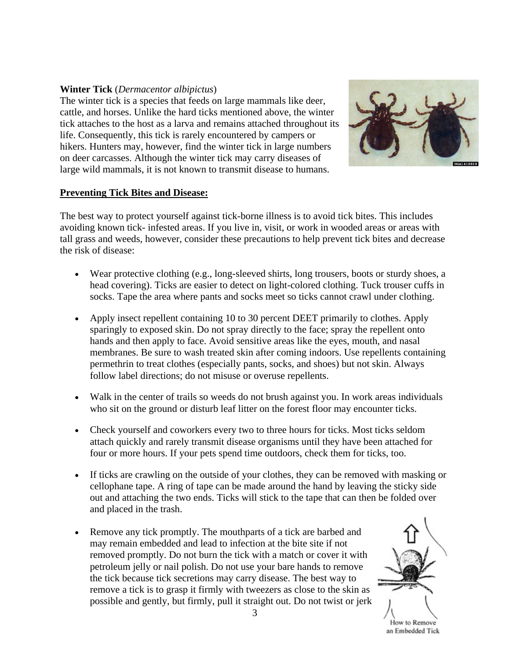## **Winter Tick** (*Dermacentor albipictus*)

The winter tick is a species that feeds on large mammals like deer, cattle, and horses. Unlike the hard ticks mentioned above, the winter tick attaches to the host as a larva and remains attached throughout its life. Consequently, this tick is rarely encountered by campers or hikers. Hunters may, however, find the winter tick in large numbers on deer carcasses. Although the winter tick may carry diseases of large wild mammals, it is not known to transmit disease to humans.



#### **Preventing Tick Bites and Disease:**

The best way to protect yourself against tick-borne illness is to avoid tick bites. This includes avoiding known tick- infested areas. If you live in, visit, or work in wooded areas or areas with tall grass and weeds, however, consider these precautions to help prevent tick bites and decrease the risk of disease:

- Wear protective clothing (e.g., long-sleeved shirts, long trousers, boots or sturdy shoes, a head covering). Ticks are easier to detect on light-colored clothing. Tuck trouser cuffs in socks. Tape the area where pants and socks meet so ticks cannot crawl under clothing.
- Apply insect repellent containing 10 to 30 percent DEET primarily to clothes. Apply sparingly to exposed skin. Do not spray directly to the face; spray the repellent onto hands and then apply to face. Avoid sensitive areas like the eyes, mouth, and nasal membranes. Be sure to wash treated skin after coming indoors. Use repellents containing permethrin to treat clothes (especially pants, socks, and shoes) but not skin. Always follow label directions; do not misuse or overuse repellents.
- Walk in the center of trails so weeds do not brush against you. In work areas individuals who sit on the ground or disturb leaf litter on the forest floor may encounter ticks.
- Check yourself and coworkers every two to three hours for ticks. Most ticks seldom attach quickly and rarely transmit disease organisms until they have been attached for four or more hours. If your pets spend time outdoors, check them for ticks, too.
- If ticks are crawling on the outside of your clothes, they can be removed with masking or cellophane tape. A ring of tape can be made around the hand by leaving the sticky side out and attaching the two ends. Ticks will stick to the tape that can then be folded over and placed in the trash.
- Remove any tick promptly. The mouthparts of a tick are barbed and may remain embedded and lead to infection at the bite site if not removed promptly. Do not burn the tick with a match or cover it with petroleum jelly or nail polish. Do not use your bare hands to remove the tick because tick secretions may carry disease. The best way to remove a tick is to grasp it firmly with tweezers as close to the skin as possible and gently, but firmly, pull it straight out. Do not twist or jerk



an Embedded Tick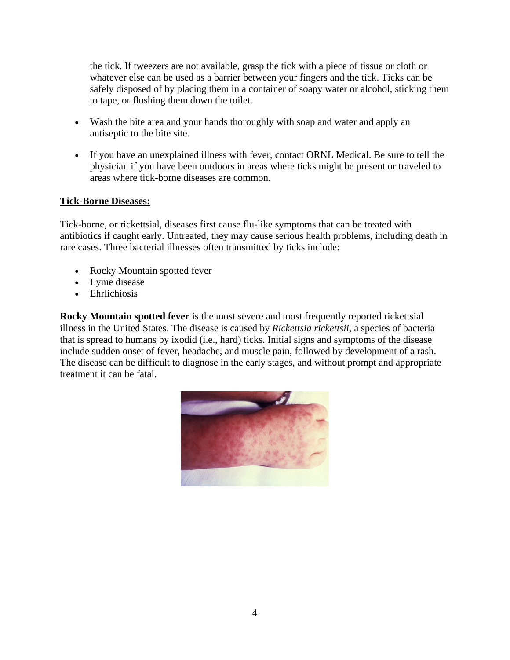the tick. If tweezers are not available, grasp the tick with a piece of tissue or cloth or whatever else can be used as a barrier between your fingers and the tick. Ticks can be safely disposed of by placing them in a container of soapy water or alcohol, sticking them to tape, or flushing them down the toilet.

- Wash the bite area and your hands thoroughly with soap and water and apply an antiseptic to the bite site.
- If you have an unexplained illness with fever, contact ORNL Medical. Be sure to tell the physician if you have been outdoors in areas where ticks might be present or traveled to areas where tick-borne diseases are common.

# **Tick-Borne Diseases:**

Tick-borne, or rickettsial, diseases first cause flu-like symptoms that can be treated with antibiotics if caught early. Untreated, they may cause serious health problems, including death in rare cases. Three bacterial illnesses often transmitted by ticks include:

- Rocky Mountain spotted fever
- Lyme disease
- Ehrlichiosis

**Rocky Mountain spotted fever** is the most severe and most frequently reported rickettsial illness in the United States. The disease is caused by *Rickettsia rickettsii*, a species of bacteria that is spread to humans by ixodid (i.e., hard) ticks. Initial signs and symptoms of the disease include sudden onset of fever, headache, and muscle pain, followed by development of a rash. The disease can be difficult to diagnose in the early stages, and without prompt and appropriate treatment it can be fatal.